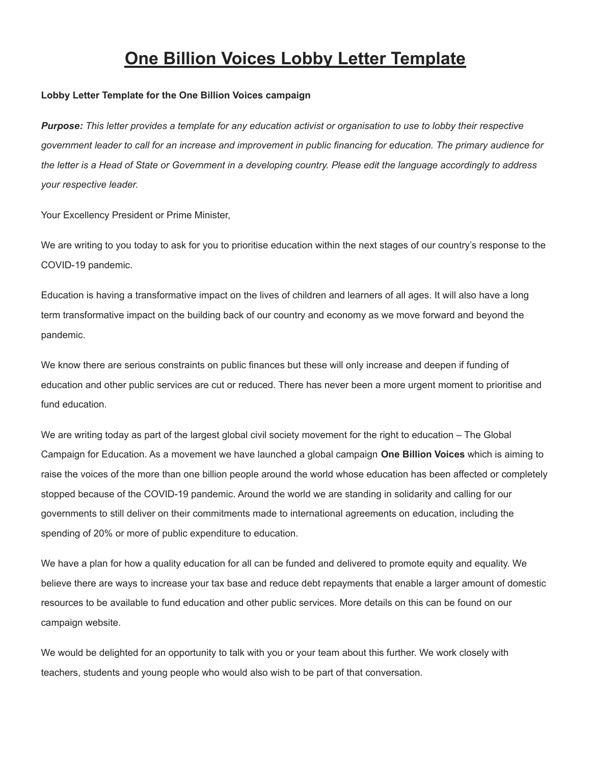## **One Billion Voices Lobby Letter Template**

## **Lobby Letter Template for the One Billion Voices campaign**

Purpose: This letter provides a template for any education activist or organisation to use to lobby their respective government leader to call for an increase and improvement in public financing for education. The primary audience for the letter is a Head of State or Government in a developing country. Please edit the language accordingly to address *your respective leader.*

Your Excellency President or Prime Minister,

We are writing to you today to ask for you to prioritise education within the next stages of our country's response to the COVID-19 pandemic.

Education is having a transformative impact on the lives of children and learners of all ages. It will also have a long term transformative impact on the building back of our country and economy as we move forward and beyond the pandemic.

We know there are serious constraints on public finances but these will only increase and deepen if funding of education and other public services are cut or reduced. There has never been a more urgent moment to prioritise and fund education.

We are writing today as part of the largest global civil society movement for the right to education – The Global Campaign for Education. As a movement we have launched a global campaign **One Billion Voices** which is aiming to raise the voices of the more than one billion people around the world whose education has been affected or completely stopped because of the COVID-19 pandemic. Around the world we are standing in solidarity and calling for our governments to still deliver on their commitments made to international agreements on education, including the spending of 20% or more of public expenditure to education.

We have a plan for how a quality education for all can be funded and delivered to promote equity and equality. We believe there are ways to increase your tax base and reduce debt repayments that enable a larger amount of domestic resources to be available to fund education and other public services. More details on this can be found on our campaign website.

We would be delighted for an opportunity to talk with you or your team about this further. We work closely with teachers, students and young people who would also wish to be part of that conversation.